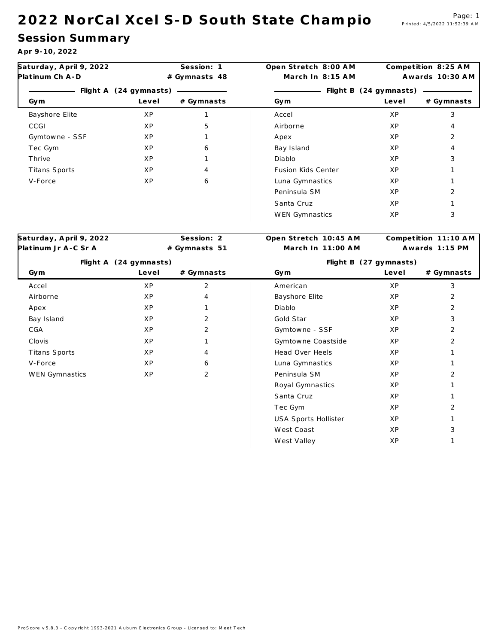#### 2022 NorCal Xcel S-D South State Champio<sup>Page: 1</sup>

## **Session Sum m a ry**

**A pr 9-10, 2022**

| Saturday, April 9, 2022             | Session: 1     |                | Open Stretch 8:00 AM       | Competition 8:25 AM |                      |  |
|-------------------------------------|----------------|----------------|----------------------------|---------------------|----------------------|--|
| Platinum Ch A-D                     |                | # Gymnasts 48  | March In 8:15 AM           |                     | Awards 10:30 AM      |  |
| - Flight A (24 gymnasts) - Flight A |                |                | - Flight B (24 gymnasts) - |                     |                      |  |
| Gym                                 | Level          | # Gymnasts     | Gym                        | Level               | # Gymnasts           |  |
| Bayshore Elite                      | ΧP             | $\mathbf{1}$   | Accel                      | ΧP                  | 3                    |  |
| CCGI                                | XP             | 5              | Airborne                   | ΧP                  | 4                    |  |
| Gymtowne - SSF                      | ΧP             | 1              | Apex                       | ΧP                  | $\overline{2}$       |  |
| Tec Gym                             | ΧP             | 6              | Bay Island                 | ΧP                  | 4                    |  |
| Thrive                              | X P            | $\mathbf{1}$   | Diablo                     | XP                  | 3                    |  |
| Titans Sports                       | X <sub>P</sub> | 4              | Fusion Kids Center         | X <sub>P</sub>      | $\mathbf{1}$         |  |
| V-Force                             | XP             | 6              | Luna Gymnastics            | ΧP                  | $\mathbf{1}$         |  |
|                                     |                |                | Peninsula SM               | ΧP                  | 2                    |  |
|                                     |                |                | Santa Cruz                 | XP                  | $\mathbf{1}$         |  |
|                                     |                |                | WEN Gymnastics             | ΧP                  | 3                    |  |
|                                     |                |                |                            |                     |                      |  |
| Saturday, April 9, 2022             |                | Session: 2     | Open Stretch 10:45 AM      |                     | Competition 11:10 AM |  |
| Platinum Jr A-C Sr A                |                | # Gymnasts 51  | March In 11:00 AM          |                     | Awards 1:15 PM       |  |
|                                     |                |                |                            |                     |                      |  |
| Gym                                 | Level          | # Gymnasts     | Gym                        | Level               | # Gymnasts           |  |
| Accel                               | XP             | $\overline{2}$ | American                   | ΧP                  | 3                    |  |
| Airborne                            | XP             | 4              | Bayshore Elite             | ΧP                  | 2                    |  |
| Apex                                | ΧP             | $\mathbf{1}$   | Diablo                     | ΧP                  | 2                    |  |
| Bay Island                          | XP             | $\overline{2}$ | Gold Star                  | ΧP                  | 3                    |  |
| CGA                                 | XP             | 2              | Gymtowne - SSF             | ΧP                  | 2                    |  |
| Clovis                              | XP             | $\mathbf{1}$   | Gymtowne Coastside         | ΧP                  | 2                    |  |
| Titans Sports                       | XP             | 4              | Head Over Heels            | ΧP                  | $\mathbf{1}$         |  |
| V-Force                             | ΧP             | 6              | Luna Gymnastics            | ΧP                  | $\mathbf{1}$         |  |
| WEN Gymnastics                      | XP             | 2              | Peninsula SM               | ΧP                  | 2                    |  |
|                                     |                |                | Royal Gymnastics           | ΧP                  | $\mathbf{1}$         |  |
|                                     |                |                | Santa Cruz                 | ΧP                  | 1                    |  |
|                                     |                |                | Tec Gym                    | ΧP                  | 2                    |  |
|                                     |                |                | USA Sports Hollister       | ΧP                  | $\mathbf{1}$         |  |
|                                     |                |                | West Coast                 | ΧP                  | 3                    |  |
|                                     |                |                | West Valley                | ΧP                  | 1                    |  |
|                                     |                |                |                            |                     |                      |  |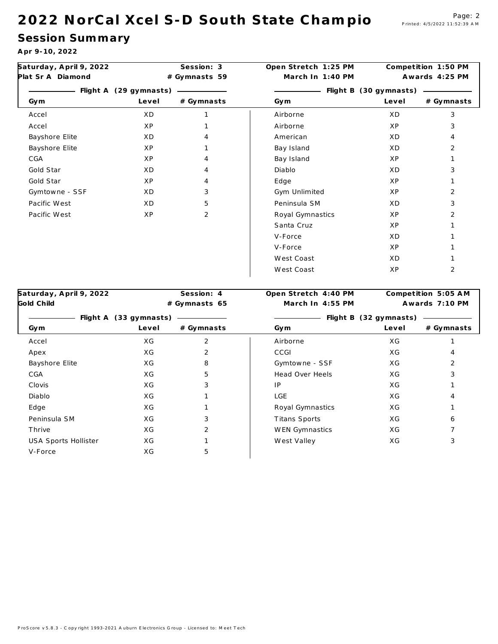#### 2 0 2 2 N or Cal X cel S - D South State Champio Page: 2

## **Session Sum m a ry**

**A pr 9-10, 2022**

| Saturday, April 9, 2022<br>Plat Sr A Diamond |                                 | Session: 3<br># Gymnasts 59 | Open Stretch 1:25 PM<br>March In 1:40 PM | Competition 1:50 PM<br>Awards 4:25 PM |            |
|----------------------------------------------|---------------------------------|-----------------------------|------------------------------------------|---------------------------------------|------------|
| Gym                                          | Flight A (29 gymnasts)<br>Level | # Gymnasts                  | Gym                                      | Flight B (30 gymnasts)<br>Level       | # Gymnasts |
|                                              |                                 |                             |                                          |                                       |            |
| Accel                                        | X D                             |                             | Airborne                                 | X <sub>D</sub>                        | 3          |
| Accel                                        | ΧP                              |                             | Airborne                                 | ΧP                                    | 3          |
| Bayshore Elite                               | X D                             | 4                           | American                                 | XD                                    | 4          |
| Bayshore Elite                               | ΧP                              |                             | Bay Island                               | X D                                   | 2          |
| CGA                                          | XP                              | 4                           | Bay Island                               | XP                                    |            |
| Gold Star                                    | X D                             | 4                           | Diablo                                   | X D                                   | 3          |
| Gold Star                                    | ΧP                              | 4                           | Edge                                     | ΧP                                    |            |
| Gymtowne - SSF                               | X D                             | 3                           | Gym Unlimited                            | ΧP                                    | 2          |
| Pacific West                                 | X D                             | 5                           | Peninsula SM                             | X D                                   | 3          |
| Pacific West                                 | XP                              | $\overline{2}$              | Royal Gymnastics                         | ΧP                                    | 2          |
|                                              |                                 |                             | Santa Cruz                               | ΧP                                    |            |
|                                              |                                 |                             | V-Force                                  | ΧD                                    |            |
|                                              |                                 |                             | V-Force                                  | ΧP                                    |            |
|                                              |                                 |                             | West Coast                               | X D                                   |            |
|                                              |                                 |                             | West Coast                               | XP                                    | 2          |

|                        |            |                  | Competition 5:05 AM    |              |  |  |
|------------------------|------------|------------------|------------------------|--------------|--|--|
| # Gymnasts 65          |            | March In 4:55 PM | Awards 7:10 PM         |              |  |  |
| Flight A (33 gymnasts) |            |                  | Flight B (32 gymnasts) |              |  |  |
| Level                  | # Gymnasts | Gym              | Level                  | $#$ Gymnasts |  |  |
| X G                    | 2          | Airborne         | ΧG                     |              |  |  |
| ХG                     | 2          | CCGI             | ХG                     | 4            |  |  |
| ХG                     | 8          | Gymtowne - SSF   | ХG                     | 2            |  |  |
| ХG                     | 5          | Head Over Heels  | ХG                     | 3            |  |  |
| ХG                     | 3          | IP               | ХG                     |              |  |  |
| ХG                     |            | LGE              | ХG                     |              |  |  |
| ХG                     |            | Royal Gymnastics | ХG                     |              |  |  |
| ХG                     | 3          | Titans Sports    | ХG                     | 6            |  |  |
| ХG                     | 2          | WEN Gymnastics   | ХG                     |              |  |  |
| ХG                     |            | West Valley      | ХG                     | 3            |  |  |
| ХG                     | 5          |                  |                        |              |  |  |
|                        |            |                  |                        |              |  |  |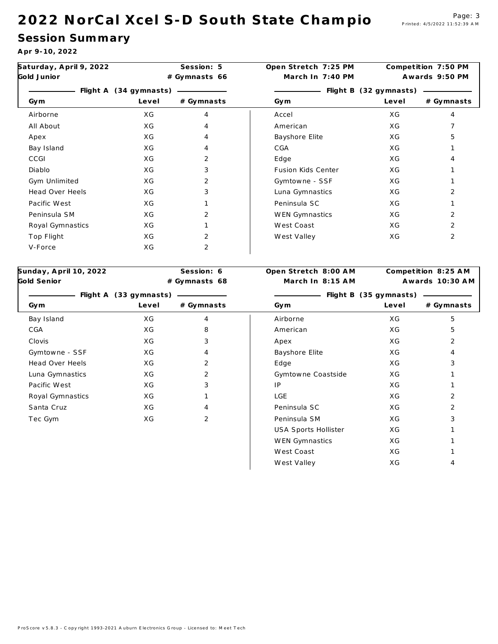#### 2022 NorCal Xcel S-D South State Champio<sup>Page: 3</sup>

## **Session Sum m a ry**

**A pr 9-10, 2022**

| Saturday, April 9, 2022      | Session: 5 |                  | Open Stretch 7:25 PM | Competition 7:50 PM |                     |
|------------------------------|------------|------------------|----------------------|---------------------|---------------------|
| Gold Junior<br># Gymnasts 66 |            | March In 7:40 PM | Awards 9:50 PM       |                     |                     |
|                              |            |                  |                      |                     |                     |
| Gym                          | Level      | # Gymnasts       | Gym                  | Level               | # Gymnasts          |
| Airborne                     | ΧG         | $\overline{4}$   | Accel                | X G                 | $\overline{4}$      |
| All About                    | XG         | $\overline{4}$   | American             | XG                  | $\overline{7}$      |
| Apex                         | ХG         | $\overline{4}$   | Bayshore Elite       | ХG                  | 5                   |
| Bay Island                   | X G        | $\overline{4}$   | CGA                  | XG                  | 1                   |
| CCGI                         | ΧG         | 2                | Edge                 | X G                 | 4                   |
| Diablo                       | ХG         | 3                | Fusion Kids Center   | ХG                  | $\mathbf{1}$        |
| Gym Unlimited                | X G        | $\overline{2}$   | Gymtowne - SSF       | ХG                  | 1                   |
| Head Over Heels              | X G        | 3                | Luna Gymnastics      | ХG                  | 2                   |
| Pacific West                 | ХG         | $\mathbf{1}$     | Peninsula SC         | ХG                  | $\mathbf{1}$        |
| Peninsula SM                 | ХG         | $\overline{2}$   | WEN Gymnastics       | ХG                  | $\overline{2}$      |
| Royal Gymnastics             | ХG         | $\mathbf{1}$     | West Coast           | X G                 | 2                   |
| Top Flight                   | ХG         | 2                | West Valley          | ХG                  | $\overline{2}$      |
| V-Force                      | ХG         | 2                |                      |                     |                     |
|                              |            |                  |                      |                     |                     |
| Sunday, April 10, 2022       |            | Session: 6       | Open Stretch 8:00 AM |                     | Competition 8:25 AM |
| Gold Senior                  |            | # Gymnasts 68    | March In 8:15 AM     |                     | Awards 10:30 AM     |
|                              |            |                  |                      |                     |                     |
| Gym                          | Level      | # Gymnasts       | Gym                  | Level               | # Gymnasts          |
| Bay Island                   | ХG         | 4                | Airborne             | ХG                  | 5                   |
| CGA                          | ХG         | 8                | American             | ХG                  | 5                   |
| Clovis                       | ХG         | 3                | Apex                 | ХG                  | 2                   |
| Gymtowne - SSF               | ХG         | $\overline{4}$   | Bayshore Elite       | ХG                  | $\overline{4}$      |
| Head Over Heels              | X G        | 2                | Edge                 | ΧG                  | 3                   |
| Luna Gymnastics              | ХG         | $\overline{2}$   | Gymtowne Coastside   | ХG                  | $\mathbf{1}$        |
| Pacific West                 | ХG         | 3                | IP                   | ХG                  | $\mathbf{1}$        |
| Royal Gymnastics             | ХG         | $\mathbf{1}$     | <b>LGE</b>           | ХG                  | $\overline{2}$      |
| Santa Cruz                   | ХG         | $\overline{4}$   | Peninsula SC         | ХG                  | 2                   |
| Tec Gym                      | XG         | 2                | Peninsula SM         | ХG                  | 3                   |
|                              |            |                  | USA Sports Hollister | ΧG                  | 1                   |
|                              |            |                  | WEN Gymnastics       | X G                 | $\mathbf{1}$        |

West Coast XG X 1 West Valley NG XG 4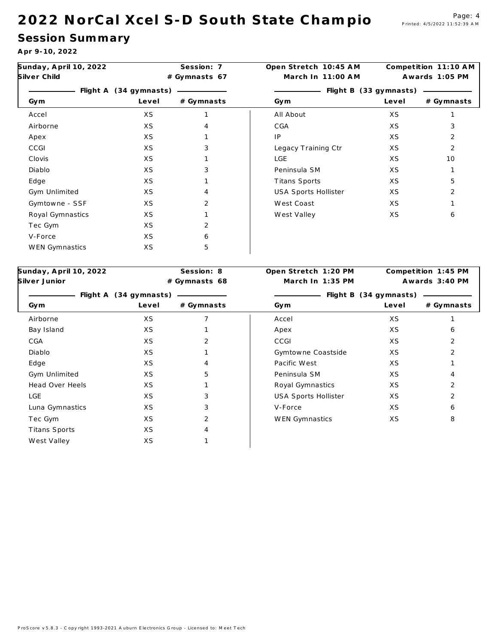#### 2022 NorCal Xcel S-D South State Champio<sup>Page: 4</sup>

**A pr 9-10, 2022**

| Sunday, April 10, 2022<br>Silver Child |       | Session: 7    | Open Stretch 10:45 AM  | Competition 11:10 AM |                     |  |
|----------------------------------------|-------|---------------|------------------------|----------------------|---------------------|--|
|                                        |       | # Gymnasts 67 | March In 11:00 AM      |                      | Awards 1:05 PM      |  |
| Flight A (34 gymnasts)                 |       |               | Flight B (33 gymnasts) |                      |                     |  |
| Gym                                    | Level | # Gymnasts    | Gym                    | Level                | # Gymnasts          |  |
| Accel                                  | XS    |               | All About              | XS                   |                     |  |
| Airborne                               | XS    |               | CGA                    | XS                   | 3                   |  |
| Apex                                   | XS    |               | IP                     | XS                   | 2                   |  |
| CCGI                                   | XS    | 3             | Legacy Training Ctr    | XS                   | 2                   |  |
| Clovis                                 | XS    |               | <b>LGE</b>             | XS                   | 10                  |  |
| Diablo                                 | XS    | 3             | Peninsula SM           | XS                   |                     |  |
| Edge                                   | XS    |               | Titans Sports          | XS                   | 5                   |  |
| Gym Unlimited                          | XS    | 4             | USA Sports Hollister   | XS                   | 2                   |  |
| Gymtowne - SSF                         | XS    | 2             | West Coast             | XS                   |                     |  |
| Royal Gymnastics                       | XS    | 1             | West Valley            | XS                   | 6                   |  |
| Tec Gym                                | XS    | 2             |                        |                      |                     |  |
| V-Force                                | XS    | 6             |                        |                      |                     |  |
| WEN Gymnastics                         | XS    | 5             |                        |                      |                     |  |
|                                        |       |               |                        |                      |                     |  |
| Sunday, April 10, 2022                 |       | Session: 8    | Open Stretch 1:20 PM   |                      | Competition 1:45 PM |  |

| Silver Junior          | # Gymnasts 68 |            | March In 1:35 PM            | Awards 3:40 PM |                |  |
|------------------------|---------------|------------|-----------------------------|----------------|----------------|--|
| Flight A (34 gymnasts) |               |            | Flight B (34 gymnasts)      |                |                |  |
| Gym                    | Level         | # Gymnasts | Gym                         | Level          | # Gymnasts     |  |
| Airborne               | XS            |            | Accel                       | XS             |                |  |
| Bay Island             | XS            |            | Apex                        | XS             | 6              |  |
| CGA                    | XS            | 2          | CCGI                        | XS             | 2              |  |
| Diablo                 | XS            |            | Gymtowne Coastside          | XS             | $\overline{2}$ |  |
| Edge                   | XS            | 4          | Pacific West                | XS             |                |  |
| Gym Unlimited          | XS            | 5          | Peninsula SM                | XS             | 4              |  |
| Head Over Heels        | XS            |            | Royal Gymnastics            | XS             | $\overline{2}$ |  |
| LGE                    | XS            | 3          | <b>USA Sports Hollister</b> | XS             | $\overline{2}$ |  |
| Luna Gymnastics        | XS            | 3          | V-Force                     | XS             | 6              |  |
| Tec Gym                | XS            | 2          | WEN Gymnastics              | XS             | 8              |  |
| Titans Sports          | XS            | 4          |                             |                |                |  |
| West Valley            | XS            |            |                             |                |                |  |